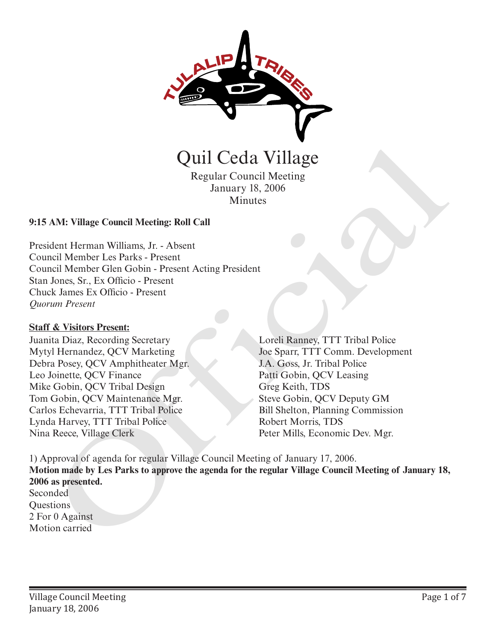

Quil Ceda Village

Regular Council Meeting January 18, 2006 Minutes

## **9:15 AM: Village Council Meeting: Roll Call**

President Herman Williams, Jr. - Absent Council Member Les Parks - Present Council Member Glen Gobin - Present Acting President Stan Jones, Sr., Ex Officio - Present Chuck James Ex Officio - Present *Quorum Present*

#### **Staff & Visitors Present:**

Juanita Diaz, Recording Secretary Mytyl Hernandez, QCV Marketing Debra Posey, QCV Amphitheater Mgr. Leo Joinette, QCV Finance Mike Gobin, QCV Tribal Design Tom Gobin, QCV Maintenance Mgr. Carlos Echevarria, TTT Tribal Police Lynda Harvey, TTT Tribal Police Nina Reece, Village Clerk

Loreli Ranney, TTT Tribal Police Joe Sparr, TTT Comm. Development J.A. Goss, Jr. Tribal Police Patti Gobin, QCV Leasing Greg Keith, TDS Steve Gobin, QCV Deputy GM Bill Shelton, Planning Commission Robert Morris, TDS

1) Approval of agenda for regular Village Council Meeting of January 17, 2006. **Motion made by Les Parks to approve the agenda for the regular Village Council Meeting of January 18, 2006 as presented.**  Seconded **CHATE CONTROLLER CONTROLLER CONTROLLER CONTROLLER CONTROLLER CONTROLLER CONTROLLER CONTROLLER (SUPPRESS)**<br>
AM: Village Council Meethr (Seconomic Millions, Jr. Absent<br>
Leich Hermann Williams, Jr. - Absent<br>
Leich Member 1.e

**Questions** 2 For 0 Against Motion carried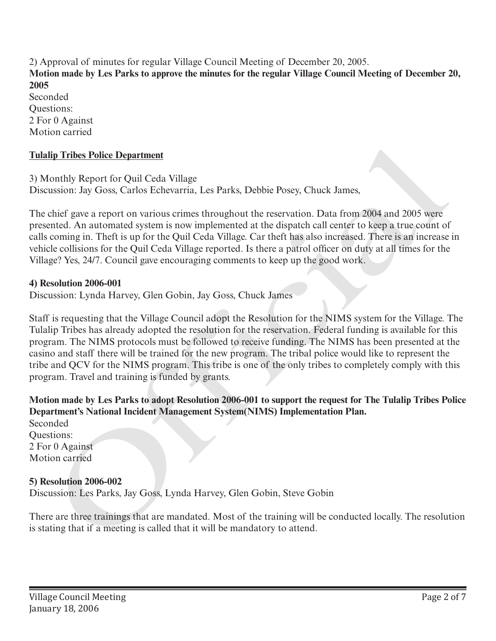2) Approval of minutes for regular Village Council Meeting of December 20, 2005. **Motion made by Les Parks to approve the minutes for the regular Village Council Meeting of December 20, 2005**  Seconded Questions:

2 For 0 Against Motion carried

## **Tulalip Tribes Police Department**

3) Monthly Report for Quil Ceda Village Discussion: Jay Goss, Carlos Echevarria, Les Parks, Debbie Posey, Chuck James,

The chief gave a report on various crimes throughout the reservation. Data from 2004 and 2005 were presented. An automated system is now implemented at the dispatch call center to keep a true count of calls coming in. Theft is up for the Quil Ceda Village. Car theft has also increased. There is an increase in vehicle collisions for the Quil Ceda Village reported. Is there a patrol officer on duty at all times for the Village? Yes, 24/7. Council gave encouraging comments to keep up the good work.

## **4) Resolution 2006-001**

Discussion: Lynda Harvey, Glen Gobin, Jay Goss, Chuck James

Staff is requesting that the Village Council adopt the Resolution for the NIMS system for the Village. The Tulalip Tribes has already adopted the resolution for the reservation. Federal funding is available for this program. The NIMS protocols must be followed to receive funding. The NIMS has been presented at the casino and staff there will be trained for the new program. The tribal police would like to represent the tribe and QCV for the NIMS program. This tribe is one of the only tribes to completely comply with this program. Travel and training is funded by grants. Tulalip Tribus Police Department<br>
3) Monthly Report for Quil Ceda Village<br>
Discussion: Jay Goss, Carlos Echevarria, Les Parks, Debbie Posey, Chuck James.<br>
The chird gave a report on various errines throughout the reservati

**Motion made by Les Parks to adopt Resolution 2006-001 to support the request for The Tulalip Tribes Police Department's National Incident Management System(NIMS) Implementation Plan.**

Seconded Questions: 2 For 0 Against Motion carried

# **5) Resolution 2006-002**

Discussion: Les Parks, Jay Goss, Lynda Harvey, Glen Gobin, Steve Gobin

There are three trainings that are mandated. Most of the training will be conducted locally. The resolution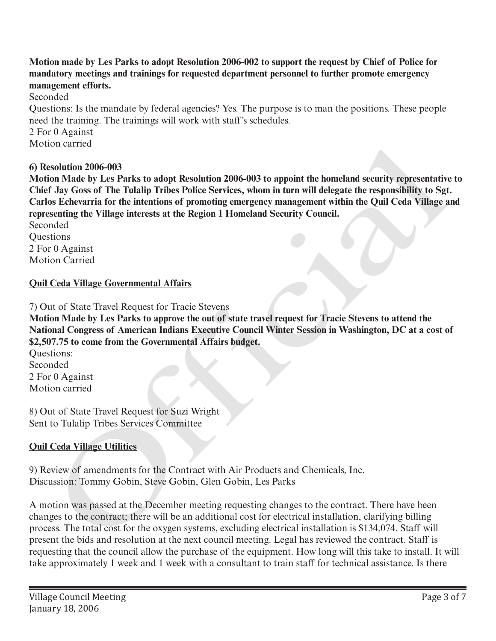**Motion made by Les Parks to adopt Resolution 2006-002 to support the request by Chief of Police for mandatory meetings and trainings for requested department personnel to further promote emergency management efforts.**

Seconded

Questions: Is the mandate by federal agencies? Yes. The purpose is to man the positions. These people need the training. The trainings will work with staff's schedules.

2 For 0 Against Motion carried

## **6) Resolution 2006-003**

**Motion Made by Les Parks to adopt Resolution 2006-003 to appoint the homeland security representative to Chief Jay Goss of The Tulalip Tribes Police Services, whom in turn will delegate the responsibility to Sgt. Carlos Echevarria for the intentions of promoting emergency management within the Quil Ceda Village and representing the Village interests at the Region 1 Homeland Security Council.** ison carried<br>
scoling 2006-003<br>
scoling 2006-003<br>
scoling David Sor En-Utalia) Tribes Plotice Ecrives, whom in turn will delegate the responsibility to Sgt<br>
on Midde by Les Parks to adopt Resolution 2006-003 to appoint the

Seconded **Ouestions** 2 For 0 Against Motion Carried

## **Quil Ceda Village Governmental Affairs**

7) Out of State Travel Request for Tracie Stevens

**Motion Made by Les Parks to approve the out of state travel request for Tracie Stevens to attend the National Congress of American Indians Executive Council Winter Session in Washington, DC at a cost of \$2,507.75 to come from the Governmental Affairs budget.**

Questions: Seconded 2 For 0 Against Motion carried

8) Out of State Travel Request for Suzi Wright Sent to Tulalip Tribes Services Committee

# **Quil Ceda Village Utilities**

9) Review of amendments for the Contract with Air Products and Chemicals, Inc. Discussion: Tommy Gobin, Steve Gobin, Glen Gobin, Les Parks

A motion was passed at the December meeting requesting changes to the contract. There have been changes to the contract; there will be an additional cost for electrical installation, clarifying billing process. The total cost for the oxygen systems, excluding electrical installation is \$134,074. Staff will present the bids and resolution at the next council meeting. Legal has reviewed the contract. Staff is requesting that the council allow the purchase of the equipment. How long will this take to install. It will take approximately 1 week and 1 week with a consultant to train staff for technical assistance. Is there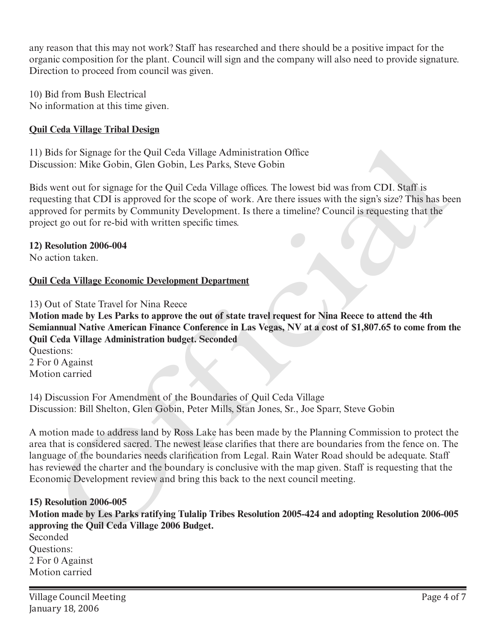any reason that this may not work? Staff has researched and there should be a positive impact for the organic composition for the plant. Council will sign and the company will also need to provide signature. Direction to proceed from council was given.

10) Bid from Bush Electrical No information at this time given.

# **Quil Ceda Village Tribal Design**

11) Bids for Signage for the Quil Ceda Village Administration Office Discussion: Mike Gobin, Glen Gobin, Les Parks, Steve Gobin

Bids went out for signage for the Quil Ceda Village offices. The lowest bid was from CDI. Staff is requesting that CDI is approved for the scope of work. Are there issues with the sign's size? This has been approved for permits by Community Development. Is there a timeline? Council is requesting that the project go out for re-bid with written specific times.

**12) Resolution 2006-004**

No action taken.

# **Quil Ceda Village Economic Development Department**

13) Out of State Travel for Nina Reece

**Motion made by Les Parks to approve the out of state travel request for Nina Reece to attend the 4th Semiannual Native American Finance Conference in Las Vegas, NV at a cost of \$1,807.65 to come from the Quil Ceda Village Administration budget. Seconded**

Questions: 2 For 0 Against Motion carried

14) Discussion For Amendment of the Boundaries of Quil Ceda Village Discussion: Bill Shelton, Glen Gobin, Peter Mills, Stan Jones, Sr., Joe Sparr, Steve Gobin

A motion made to address land by Ross Lake has been made by the Planning Commission to protect the area that is considered sacred. The newest lease clarifies that there are boundaries from the fence on. The language of the boundaries needs clarification from Legal. Rain Water Road should be adequate. Staff has reviewed the charter and the boundary is conclusive with the map given. Staff is requesting that the Economic Development review and bring this back to the next council meeting. Sids for Sigmage for the Quil Cedu Village Administration Office<br>usion: Wike Gobin, Glen Gobin, Les Parks, Steve Gobin<br>went out for signage for the Quil Ceda Village offices. The lowest bid was from CDI. Staff is<br>went out

### **15) Resolution 2006-005**

**Motion made by Les Parks ratifying Tulalip Tribes Resolution 2005-424 and adopting Resolution 2006-005 approving the Quil Ceda Village 2006 Budget.**

Seconded Questions: 2 For 0 Against Motion carried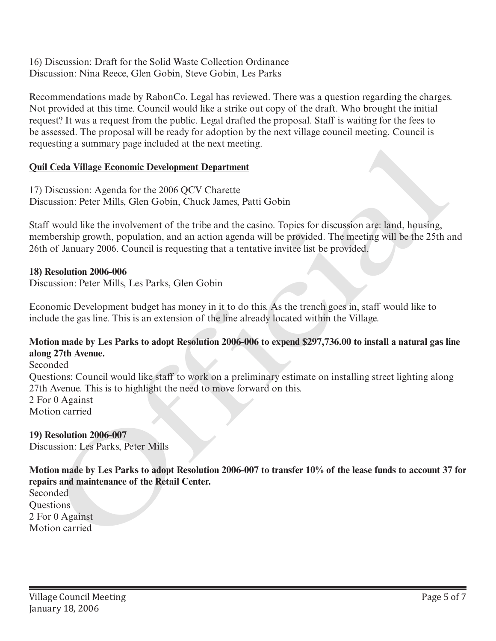16) Discussion: Draft for the Solid Waste Collection Ordinance Discussion: Nina Reece, Glen Gobin, Steve Gobin, Les Parks

Recommendations made by RabonCo. Legal has reviewed. There was a question regarding the charges. Not provided at this time. Council would like a strike out copy of the draft. Who brought the initial request? It was a request from the public. Legal drafted the proposal. Staff is waiting for the fees to be assessed. The proposal will be ready for adoption by the next village council meeting. Council is requesting a summary page included at the next meeting.

# **Quil Ceda Village Economic Development Department**

17) Discussion: Agenda for the 2006 QCV Charette Discussion: Peter Mills, Glen Gobin, Chuck James, Patti Gobin

Staff would like the involvement of the tribe and the casino. Topics for discussion are: land, housing, membership growth, population, and an action agenda will be provided. The meeting will be the 25th and 26th of January 2006. Council is requesting that a tentative invitee list be provided.

# **18) Resolution 2006-006**

Discussion: Peter Mills, Les Parks, Glen Gobin

Economic Development budget has money in it to do this. As the trench goes in, staff would like to include the gas line. This is an extension of the line already located within the Village.

### **Motion made by Les Parks to adopt Resolution 2006-006 to expend \$297,736.00 to install a natural gas line along 27th Avenue.**

Seconded Questions: Council would like staff to work on a preliminary estimate on installing street lighting along 27th Avenue. This is to highlight the need to move forward on this. 2 For 0 Against Motion carried requesting a summary page included at the next meeting.<br>
17) Discussion: Agends for the 2006 QCV Charttle<br>
17) Discussion: Agends for the 2006 QCV Charttle<br>
Discussion: Peter Mills, Glen Gobin, Chuck James, Patti Gobin<br>
Sh

# **19) Resolution 2006-007**

Discussion: Les Parks, Peter Mills

**Motion made by Les Parks to adopt Resolution 2006-007 to transfer 10% of the lease funds to account 37 for repairs and maintenance of the Retail Center.**

Seconded **Ouestions** 2 For 0 Against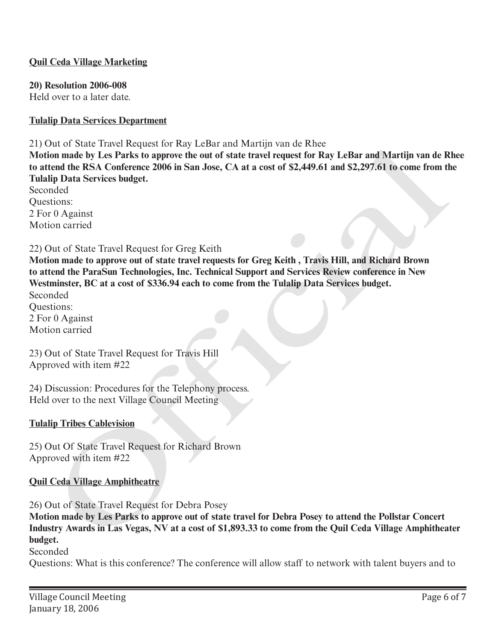## **Quil Ceda Village Marketing**

#### **20) Resolution 2006-008**

Held over to a later date.

### **Tulalip Data Services Department**

#### 21) Out of State Travel Request for Ray LeBar and Martijn van de Rhee

**Motion made by Les Parks to approve the out of state travel request for Ray LeBar and Martijn van de Rhee to attend the RSA Conference 2006 in San Jose, CA at a cost of \$2,449.61 and \$2,297.61 to come from the Tulalip Data Services budget.** 

Seconded Questions: 2 For 0 Against Motion carried

### 22) Out of State Travel Request for Greg Keith

**Motion made to approve out of state travel requests for Greg Keith , Travis Hill, and Richard Brown to attend the ParaSun Technologies, Inc. Technical Support and Services Review conference in New Westminster, BC at a cost of \$336.94 each to come from the Tulalip Data Services budget.**  Seconded 2017 of State Iravel Request for Kay Lenar and Marrijn van de Knee<br>
the moment be NESA Conference 2006 in San Jose, CA at a cost of \$2,449.61 and \$2,297.61 to come from the BSA Conference 2006 in San Jose, CA at a cost of

Questions: 2 For 0 Against Motion carried

23) Out of State Travel Request for Travis Hill Approved with item #22

24) Discussion: Procedures for the Telephony process. Held over to the next Village Council Meeting

### **Tulalip Tribes Cablevision**

25) Out Of State Travel Request for Richard Brown Approved with item #22

### **Quil Ceda Village Amphitheatre**

26) Out of State Travel Request for Debra Posey

**Motion made by Les Parks to approve out of state travel for Debra Posey to attend the Pollstar Concert Industry Awards in Las Vegas, NV at a cost of \$1,893.33 to come from the Quil Ceda Village Amphitheater budget.**

### Seconded

Questions: What is this conference? The conference will allow staff to network with talent buyers and to